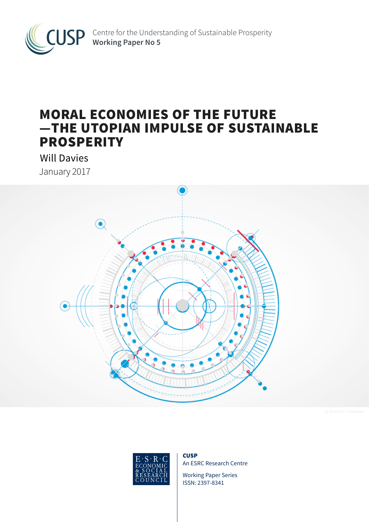

# MORAL ECONOMIES OF THE FUTURE —THE UTOPIAN IMPULSE OF SUSTAINABLE **PROSPERITY**

Will Davies January 2017





**CUSP** An ESRC Research Centre

Working Paper Series ISSN: 2397-8341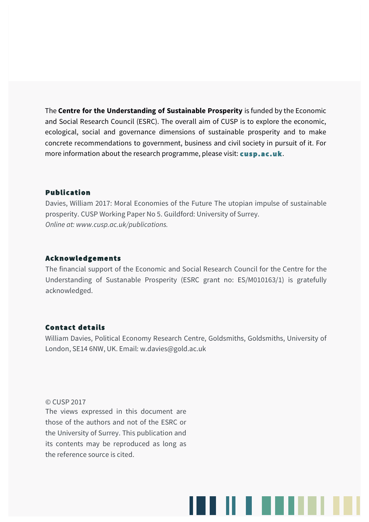The **Centre for the Understanding of Sustainable Prosperity** is funded by the Economic and Social Research Council (ESRC). The overall aim of CUSP is to explore the economic, ecological, social and governance dimensions of sustainable prosperity and to make concrete recommendations to government, business and civil society in pursuit of it. For more information about the research programme, please visit: **cusp.ac.uk**.

## Publication

Davies, William 2017: Moral Economies of the Future The utopian impulse of sustainable prosperity. CUSP Working Paper No 5. Guildford: University of Surrey. *Online at: www.cusp.ac.uk/publications.*

# Acknowledgements

The financial support of the Economic and Social Research Council for the Centre for the Understanding of Sustanable Prosperity (ESRC grant no: ES/M010163/1) is gratefully acknowledged.

# Contact details

William Davies, Political Economy Research Centre, Goldsmiths, Goldsmiths, University of London, SE14 6NW, UK. Email: w.davies@gold.ac.uk

## © CUSP 2017

The views expressed in this document are those of the authors and not of the ESRC or the University of Surrey. This publication and its contents may be reproduced as long as the reference source is cited.

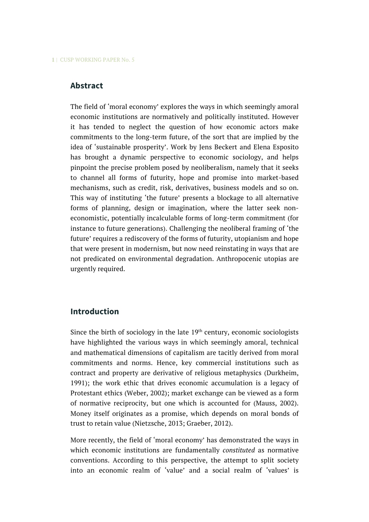# **Abstract**

The field of 'moral economy' explores the ways in which seemingly amoral economic institutions are normatively and politically instituted. However it has tended to neglect the question of how economic actors make commitments to the long-term future, of the sort that are implied by the idea of 'sustainable prosperity'. Work by Jens Beckert and Elena Esposito has brought a dynamic perspective to economic sociology, and helps pinpoint the precise problem posed by neoliberalism, namely that it seeks to channel all forms of futurity, hope and promise into market-based mechanisms, such as credit, risk, derivatives, business models and so on. This way of instituting 'the future' presents a blockage to all alternative forms of planning, design or imagination, where the latter seek noneconomistic, potentially incalculable forms of long-term commitment (for instance to future generations). Challenging the neoliberal framing of 'the future' requires a rediscovery of the forms of futurity, utopianism and hope that were present in modernism, but now need reinstating in ways that are not predicated on environmental degradation. Anthropocenic utopias are urgently required.

## **Introduction**

Since the birth of sociology in the late  $19<sup>th</sup>$  century, economic sociologists have highlighted the various ways in which seemingly amoral, technical and mathematical dimensions of capitalism are tacitly derived from moral commitments and norms. Hence, key commercial institutions such as contract and property are derivative of religious metaphysics (Durkheim, 1991); the work ethic that drives economic accumulation is a legacy of Protestant ethics (Weber, 2002); market exchange can be viewed as a form of normative reciprocity, but one which is accounted for (Mauss, 2002). Money itself originates as a promise, which depends on moral bonds of trust to retain value (Nietzsche, 2013; Graeber, 2012).

More recently, the field of 'moral economy' has demonstrated the ways in which economic institutions are fundamentally *constituted* as normative conventions. According to this perspective, the attempt to split society into an economic realm of 'value' and a social realm of 'values' is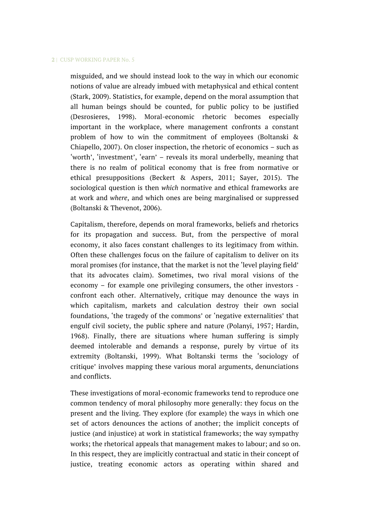misguided, and we should instead look to the way in which our economic notions of value are already imbued with metaphysical and ethical content (Stark, 2009). Statistics, for example, depend on the moral assumption that all human beings should be counted, for public policy to be justified (Desrosieres, 1998). Moral-economic rhetoric becomes especially important in the workplace, where management confronts a constant problem of how to win the commitment of employees (Boltanski & Chiapello, 2007). On closer inspection, the rhetoric of economics – such as 'worth', 'investment', 'earn' – reveals its moral underbelly, meaning that there is no realm of political economy that is free from normative or ethical presuppositions (Beckert & Aspers, 2011; Sayer, 2015). The sociological question is then *which* normative and ethical frameworks are at work and *where*, and which ones are being marginalised or suppressed (Boltanski & Thevenot, 2006).

Capitalism, therefore, depends on moral frameworks, beliefs and rhetorics for its propagation and success. But, from the perspective of moral economy, it also faces constant challenges to its legitimacy from within. Often these challenges focus on the failure of capitalism to deliver on its moral promises (for instance, that the market is not the 'level playing field' that its advocates claim). Sometimes, two rival moral visions of the economy – for example one privileging consumers, the other investors confront each other. Alternatively, critique may denounce the ways in which capitalism, markets and calculation destroy their own social foundations, 'the tragedy of the commons' or 'negative externalities' that engulf civil society, the public sphere and nature (Polanyi, 1957; Hardin, 1968). Finally, there are situations where human suffering is simply deemed intolerable and demands a response, purely by virtue of its extremity (Boltanski, 1999). What Boltanski terms the 'sociology of critique' involves mapping these various moral arguments, denunciations and conflicts.

These investigations of moral-economic frameworks tend to reproduce one common tendency of moral philosophy more generally: they focus on the present and the living. They explore (for example) the ways in which one set of actors denounces the actions of another; the implicit concepts of justice (and injustice) at work in statistical frameworks; the way sympathy works; the rhetorical appeals that management makes to labour; and so on. In this respect, they are implicitly contractual and static in their concept of justice, treating economic actors as operating within shared and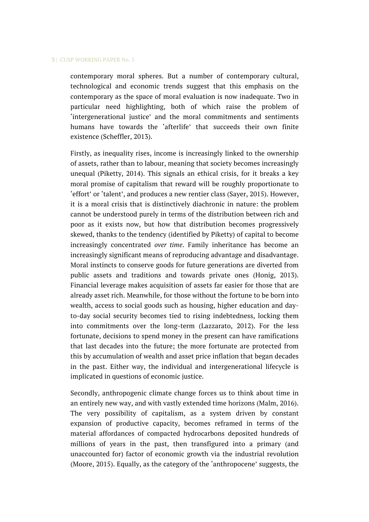contemporary moral spheres. But a number of contemporary cultural, technological and economic trends suggest that this emphasis on the contemporary as the space of moral evaluation is now inadequate. Two in particular need highlighting, both of which raise the problem of 'intergenerational justice' and the moral commitments and sentiments humans have towards the 'afterlife' that succeeds their own finite existence (Scheffler, 2013).

Firstly, as inequality rises, income is increasingly linked to the ownership of assets, rather than to labour, meaning that society becomes increasingly unequal (Piketty, 2014). This signals an ethical crisis, for it breaks a key moral promise of capitalism that reward will be roughly proportionate to 'effort' or 'talent', and produces a new rentier class (Sayer, 2015). However, it is a moral crisis that is distinctively diachronic in nature: the problem cannot be understood purely in terms of the distribution between rich and poor as it exists now, but how that distribution becomes progressively skewed, thanks to the tendency (identified by Piketty) of capital to become increasingly concentrated *over time*. Family inheritance has become an increasingly significant means of reproducing advantage and disadvantage. Moral instincts to conserve goods for future generations are diverted from public assets and traditions and towards private ones (Honig, 2013). Financial leverage makes acquisition of assets far easier for those that are already asset rich. Meanwhile, for those without the fortune to be born into wealth, access to social goods such as housing, higher education and dayto-day social security becomes tied to rising indebtedness, locking them into commitments over the long-term (Lazzarato, 2012). For the less fortunate, decisions to spend money in the present can have ramifications that last decades into the future; the more fortunate are protected from this by accumulation of wealth and asset price inflation that began decades in the past. Either way, the individual and intergenerational lifecycle is implicated in questions of economic justice.

Secondly, anthropogenic climate change forces us to think about time in an entirely new way, and with vastly extended time horizons (Malm, 2016). The very possibility of capitalism, as a system driven by constant expansion of productive capacity, becomes reframed in terms of the material affordances of compacted hydrocarbons deposited hundreds of millions of years in the past, then transfigured into a primary (and unaccounted for) factor of economic growth via the industrial revolution (Moore, 2015). Equally, as the category of the 'anthropocene' suggests, the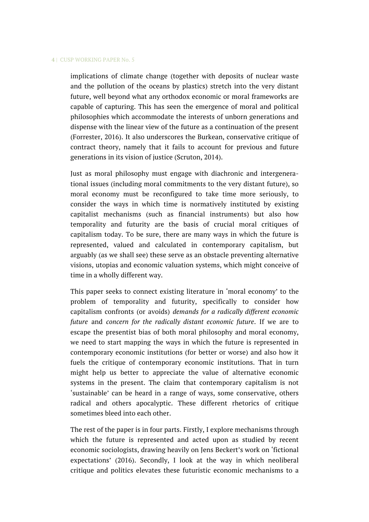implications of climate change (together with deposits of nuclear waste and the pollution of the oceans by plastics) stretch into the very distant future, well beyond what any orthodox economic or moral frameworks are capable of capturing. This has seen the emergence of moral and political philosophies which accommodate the interests of unborn generations and dispense with the linear view of the future as a continuation of the present (Forrester, 2016). It also underscores the Burkean, conservative critique of contract theory, namely that it fails to account for previous and future generations in its vision of justice (Scruton, 2014).

Just as moral philosophy must engage with diachronic and intergenerational issues (including moral commitments to the very distant future), so moral economy must be reconfigured to take time more seriously, to consider the ways in which time is normatively instituted by existing capitalist mechanisms (such as financial instruments) but also how temporality and futurity are the basis of crucial moral critiques of capitalism today. To be sure, there are many ways in which the future is represented, valued and calculated in contemporary capitalism, but arguably (as we shall see) these serve as an obstacle preventing alternative visions, utopias and economic valuation systems, which might conceive of time in a wholly different way.

This paper seeks to connect existing literature in 'moral economy' to the problem of temporality and futurity, specifically to consider how capitalism confronts (or avoids) *demands for a radically different economic future* and *concern for the radically distant economic future*. If we are to escape the presentist bias of both moral philosophy and moral economy, we need to start mapping the ways in which the future is represented in contemporary economic institutions (for better or worse) and also how it fuels the critique of contemporary economic institutions. That in turn might help us better to appreciate the value of alternative economic systems in the present. The claim that contemporary capitalism is not 'sustainable' can be heard in a range of ways, some conservative, others radical and others apocalyptic. These different rhetorics of critique sometimes bleed into each other.

The rest of the paper is in four parts. Firstly, I explore mechanisms through which the future is represented and acted upon as studied by recent economic sociologists, drawing heavily on Jens Beckert's work on 'fictional expectations' (2016). Secondly, I look at the way in which neoliberal critique and politics elevates these futuristic economic mechanisms to a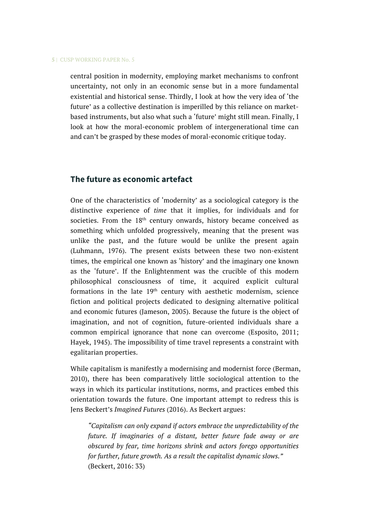central position in modernity, employing market mechanisms to confront uncertainty, not only in an economic sense but in a more fundamental existential and historical sense. Thirdly, I look at how the very idea of 'the future' as a collective destination is imperilled by this reliance on marketbased instruments, but also what such a 'future' might still mean. Finally, I look at how the moral-economic problem of intergenerational time can and can't be grasped by these modes of moral-economic critique today.

## **The future as economic artefact**

One of the characteristics of 'modernity' as a sociological category is the distinctive experience of *time* that it implies, for individuals and for societies. From the 18<sup>th</sup> century onwards, history became conceived as something which unfolded progressively, meaning that the present was unlike the past, and the future would be unlike the present again (Luhmann, 1976). The present exists between these two non-existent times, the empirical one known as 'history' and the imaginary one known as the 'future'. If the Enlightenment was the crucible of this modern philosophical consciousness of time, it acquired explicit cultural formations in the late  $19<sup>th</sup>$  century with aesthetic modernism, science fiction and political projects dedicated to designing alternative political and economic futures (Jameson, 2005). Because the future is the object of imagination, and not of cognition, future-oriented individuals share a common empirical ignorance that none can overcome (Esposito, 2011; Hayek, 1945). The impossibility of time travel represents a constraint with egalitarian properties.

While capitalism is manifestly a modernising and modernist force (Berman, 2010), there has been comparatively little sociological attention to the ways in which its particular institutions, norms, and practices embed this orientation towards the future. One important attempt to redress this is Jens Beckert's *Imagined Futures* (2016). As Beckert argues:

*"Capitalism can only expand if actors embrace the unpredictability of the future. If imaginaries of a distant, better future fade away or are obscured by fear, time horizons shrink and actors forego opportunities for further, future growth. As a result the capitalist dynamic slows."* (Beckert, 2016: 33)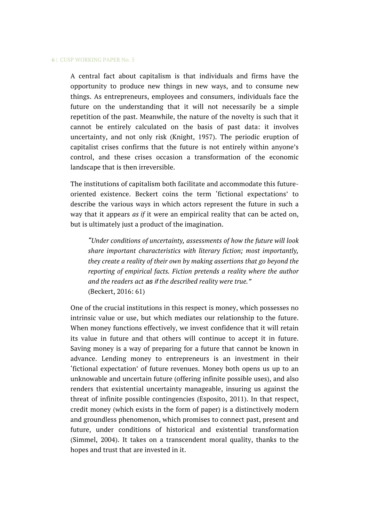A central fact about capitalism is that individuals and firms have the opportunity to produce new things in new ways, and to consume new things. As entrepreneurs, employees and consumers, individuals face the future on the understanding that it will not necessarily be a simple repetition of the past. Meanwhile, the nature of the novelty is such that it cannot be entirely calculated on the basis of past data: it involves uncertainty, and not only risk (Knight, 1957). The periodic eruption of capitalist crises confirms that the future is not entirely within anyone's control, and these crises occasion a transformation of the economic landscape that is then irreversible.

The institutions of capitalism both facilitate and accommodate this futureoriented existence. Beckert coins the term 'fictional expectations' to describe the various ways in which actors represent the future in such a way that it appears *as if* it were an empirical reality that can be acted on, but is ultimately just a product of the imagination.

*"Under conditions of uncertainty, assessments of how the future will look share important characteristics with literary fiction; most importantly, they create a reality of their own by making assertions that go beyond the reporting of empirical facts. Fiction pretends a reality where the author and the readers act as if the described reality were true."*  (Beckert, 2016: 61)

One of the crucial institutions in this respect is money, which possesses no intrinsic value or use, but which mediates our relationship to the future. When money functions effectively, we invest confidence that it will retain its value in future and that others will continue to accept it in future. Saving money is a way of preparing for a future that cannot be known in advance. Lending money to entrepreneurs is an investment in their 'fictional expectation' of future revenues. Money both opens us up to an unknowable and uncertain future (offering infinite possible uses), and also renders that existential uncertainty manageable, insuring us against the threat of infinite possible contingencies (Esposito, 2011). In that respect, credit money (which exists in the form of paper) is a distinctively modern and groundless phenomenon, which promises to connect past, present and future, under conditions of historical and existential transformation (Simmel, 2004). It takes on a transcendent moral quality, thanks to the hopes and trust that are invested in it.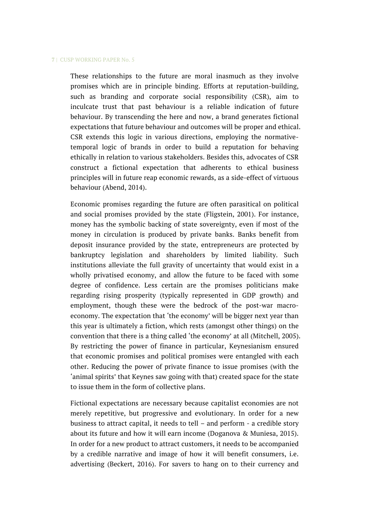These relationships to the future are moral inasmuch as they involve promises which are in principle binding. Efforts at reputation-building, such as branding and corporate social responsibility (CSR), aim to inculcate trust that past behaviour is a reliable indication of future behaviour. By transcending the here and now, a brand generates fictional expectations that future behaviour and outcomes will be proper and ethical. CSR extends this logic in various directions, employing the normativetemporal logic of brands in order to build a reputation for behaving ethically in relation to various stakeholders. Besides this, advocates of CSR construct a fictional expectation that adherents to ethical business principles will in future reap economic rewards, as a side-effect of virtuous behaviour (Abend, 2014).

Economic promises regarding the future are often parasitical on political and social promises provided by the state (Fligstein, 2001). For instance, money has the symbolic backing of state sovereignty, even if most of the money in circulation is produced by private banks. Banks benefit from deposit insurance provided by the state, entrepreneurs are protected by bankruptcy legislation and shareholders by limited liability. Such institutions alleviate the full gravity of uncertainty that would exist in a wholly privatised economy, and allow the future to be faced with some degree of confidence. Less certain are the promises politicians make regarding rising prosperity (typically represented in GDP growth) and employment, though these were the bedrock of the post-war macroeconomy. The expectation that 'the economy' will be bigger next year than this year is ultimately a fiction, which rests (amongst other things) on the convention that there is a thing called 'the economy' at all (Mitchell, 2005). By restricting the power of finance in particular, Keynesianism ensured that economic promises and political promises were entangled with each other. Reducing the power of private finance to issue promises (with the 'animal spirits' that Keynes saw going with that) created space for the state to issue them in the form of collective plans.

Fictional expectations are necessary because capitalist economies are not merely repetitive, but progressive and evolutionary. In order for a new business to attract capital, it needs to tell – and perform - a credible story about its future and how it will earn income (Doganova & Muniesa, 2015). In order for a new product to attract customers, it needs to be accompanied by a credible narrative and image of how it will benefit consumers, i.e. advertising (Beckert, 2016). For savers to hang on to their currency and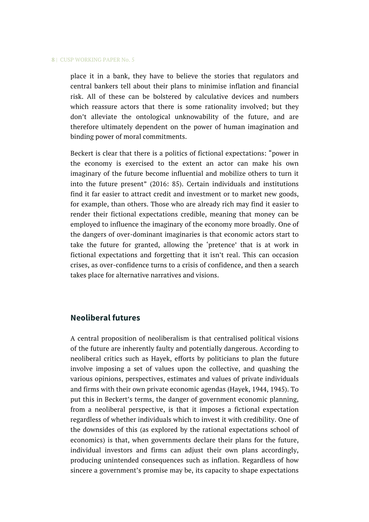place it in a bank, they have to believe the stories that regulators and central bankers tell about their plans to minimise inflation and financial risk. All of these can be bolstered by calculative devices and numbers which reassure actors that there is some rationality involved; but they don't alleviate the ontological unknowability of the future, and are therefore ultimately dependent on the power of human imagination and binding power of moral commitments.

Beckert is clear that there is a politics of fictional expectations: "power in the economy is exercised to the extent an actor can make his own imaginary of the future become influential and mobilize others to turn it into the future present" (2016: 85). Certain individuals and institutions find it far easier to attract credit and investment or to market new goods, for example, than others. Those who are already rich may find it easier to render their fictional expectations credible, meaning that money can be employed to influence the imaginary of the economy more broadly. One of the dangers of over-dominant imaginaries is that economic actors start to take the future for granted, allowing the 'pretence' that is at work in fictional expectations and forgetting that it isn't real. This can occasion crises, as over-confidence turns to a crisis of confidence, and then a search takes place for alternative narratives and visions.

# **Neoliberal futures**

A central proposition of neoliberalism is that centralised political visions of the future are inherently faulty and potentially dangerous. According to neoliberal critics such as Hayek, efforts by politicians to plan the future involve imposing a set of values upon the collective, and quashing the various opinions, perspectives, estimates and values of private individuals and firms with their own private economic agendas (Hayek, 1944, 1945). To put this in Beckert's terms, the danger of government economic planning, from a neoliberal perspective, is that it imposes a fictional expectation regardless of whether individuals which to invest it with credibility. One of the downsides of this (as explored by the rational expectations school of economics) is that, when governments declare their plans for the future, individual investors and firms can adjust their own plans accordingly, producing unintended consequences such as inflation. Regardless of how sincere a government's promise may be, its capacity to shape expectations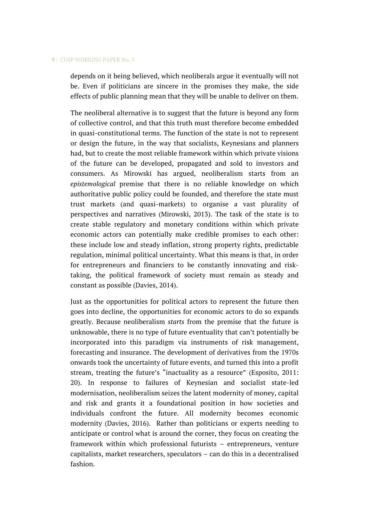depends on it being believed, which neoliberals argue it eventually will not be. Even if politicians are sincere in the promises they make, the side effects of public planning mean that they will be unable to deliver on them.

The neoliberal alternative is to suggest that the future is beyond any form of collective control, and that this truth must therefore become embedded in quasi-constitutional terms. The function of the state is not to represent or design the future, in the way that socialists, Keynesians and planners had, but to create the most reliable framework within which private visions of the future can be developed, propagated and sold to investors and consumers. As Mirowski has argued, neoliberalism starts from an *epistemological* premise that there is no reliable knowledge on which authoritative public policy could be founded, and therefore the state must trust markets (and quasi-markets) to organise a vast plurality of perspectives and narratives (Mirowski, 2013). The task of the state is to create stable regulatory and monetary conditions within which private economic actors can potentially make credible promises to each other: these include low and steady inflation, strong property rights, predictable regulation, minimal political uncertainty. What this means is that, in order for entrepreneurs and financiers to be constantly innovating and risktaking, the political framework of society must remain as steady and constant as possible (Davies, 2014).

Just as the opportunities for political actors to represent the future then goes into decline, the opportunities for economic actors to do so expands greatly. Because neoliberalism *starts* from the premise that the future is unknowable, there is no type of future eventuality that can't potentially be incorporated into this paradigm via instruments of risk management, forecasting and insurance. The development of derivatives from the 1970s onwards took the uncertainty of future events, and turned this into a profit stream, treating the future's "inactuality as a resource" (Esposito, 2011: 20). In response to failures of Keynesian and socialist state-led modernisation, neoliberalism seizes the latent modernity of money, capital and risk and grants it a foundational position in how societies and individuals confront the future. All modernity becomes economic modernity (Davies, 2016). Rather than politicians or experts needing to anticipate or control what is around the corner, they focus on creating the framework within which professional futurists – entrepreneurs, venture capitalists, market researchers, speculators – can do this in a decentralised fashion.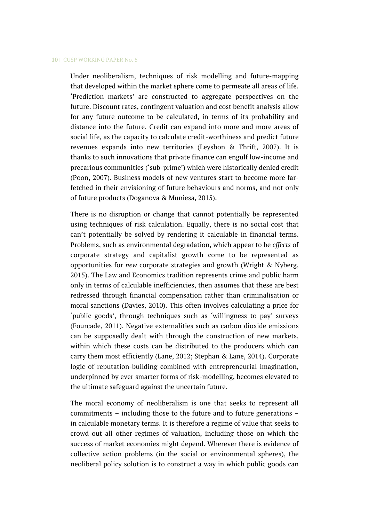Under neoliberalism, techniques of risk modelling and future-mapping that developed within the market sphere come to permeate all areas of life. 'Prediction markets' are constructed to aggregate perspectives on the future. Discount rates, contingent valuation and cost benefit analysis allow for any future outcome to be calculated, in terms of its probability and distance into the future. Credit can expand into more and more areas of social life, as the capacity to calculate credit-worthiness and predict future revenues expands into new territories (Leyshon & Thrift, 2007). It is thanks to such innovations that private finance can engulf low-income and precarious communities ('sub-prime') which were historically denied credit (Poon, 2007). Business models of new ventures start to become more farfetched in their envisioning of future behaviours and norms, and not only of future products (Doganova & Muniesa, 2015).

There is no disruption or change that cannot potentially be represented using techniques of risk calculation. Equally, there is no social cost that can't potentially be solved by rendering it calculable in financial terms. Problems, such as environmental degradation, which appear to be *effects* of corporate strategy and capitalist growth come to be represented as opportunities for *new* corporate strategies and growth (Wright & Nyberg, 2015). The Law and Economics tradition represents crime and public harm only in terms of calculable inefficiencies, then assumes that these are best redressed through financial compensation rather than criminalisation or moral sanctions (Davies, 2010). This often involves calculating a price for 'public goods', through techniques such as 'willingness to pay' surveys (Fourcade, 2011). Negative externalities such as carbon dioxide emissions can be supposedly dealt with through the construction of new markets, within which these costs can be distributed to the producers which can carry them most efficiently (Lane, 2012; Stephan & Lane, 2014). Corporate logic of reputation-building combined with entrepreneurial imagination, underpinned by ever smarter forms of risk-modelling, becomes elevated to the ultimate safeguard against the uncertain future.

The moral economy of neoliberalism is one that seeks to represent all commitments – including those to the future and to future generations – in calculable monetary terms. It is therefore a regime of value that seeks to crowd out all other regimes of valuation, including those on which the success of market economies might depend. Wherever there is evidence of collective action problems (in the social or environmental spheres), the neoliberal policy solution is to construct a way in which public goods can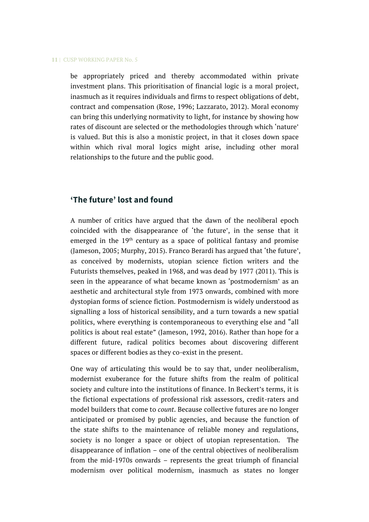be appropriately priced and thereby accommodated within private investment plans. This prioritisation of financial logic is a moral project, inasmuch as it requires individuals and firms to respect obligations of debt, contract and compensation (Rose, 1996; Lazzarato, 2012). Moral economy can bring this underlying normativity to light, for instance by showing how rates of discount are selected or the methodologies through which 'nature' is valued. But this is also a monistic project, in that it closes down space within which rival moral logics might arise, including other moral relationships to the future and the public good.

# **'The future' lost and found**

A number of critics have argued that the dawn of the neoliberal epoch coincided with the disappearance of 'the future', in the sense that it emerged in the  $19<sup>th</sup>$  century as a space of political fantasy and promise (Jameson, 2005; Murphy, 2015). Franco Berardi has argued that 'the future', as conceived by modernists, utopian science fiction writers and the Futurists themselves, peaked in 1968, and was dead by 1977 (2011). This is seen in the appearance of what became known as 'postmodernism' as an aesthetic and architectural style from 1973 onwards, combined with more dystopian forms of science fiction. Postmodernism is widely understood as signalling a loss of historical sensibility, and a turn towards a new spatial politics, where everything is contemporaneous to everything else and "all politics is about real estate" (Jameson, 1992, 2016). Rather than hope for a different future, radical politics becomes about discovering different spaces or different bodies as they co-exist in the present.

One way of articulating this would be to say that, under neoliberalism, modernist exuberance for the future shifts from the realm of political society and culture into the institutions of finance. In Beckert's terms, it is the fictional expectations of professional risk assessors, credit-raters and model builders that come to *count*. Because collective futures are no longer anticipated or promised by public agencies, and because the function of the state shifts to the maintenance of reliable money and regulations, society is no longer a space or object of utopian representation. The disappearance of inflation – one of the central objectives of neoliberalism from the mid-1970s onwards – represents the great triumph of financial modernism over political modernism, inasmuch as states no longer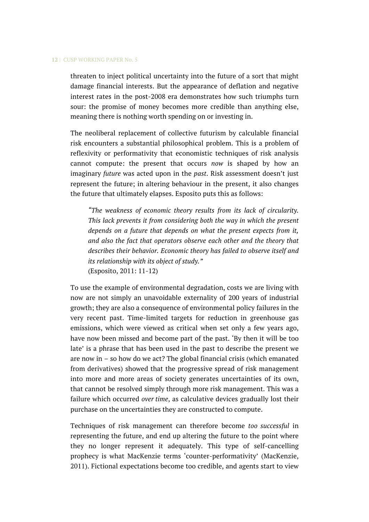threaten to inject political uncertainty into the future of a sort that might damage financial interests. But the appearance of deflation and negative interest rates in the post-2008 era demonstrates how such triumphs turn sour: the promise of money becomes more credible than anything else, meaning there is nothing worth spending on or investing in.

The neoliberal replacement of collective futurism by calculable financial risk encounters a substantial philosophical problem. This is a problem of reflexivity or performativity that economistic techniques of risk analysis cannot compute: the present that occurs *now* is shaped by how an imaginary *future* was acted upon in the *past*. Risk assessment doesn't just represent the future; in altering behaviour in the present, it also changes the future that ultimately elapses. Esposito puts this as follows:

*"The weakness of economic theory results from its lack of circularity. This lack prevents it from considering both the way in which the present depends on a future that depends on what the present expects from it, and also the fact that operators observe each other and the theory that describes their behavior. Economic theory has failed to observe itself and its relationship with its object of study."* (Esposito, 2011: 11-12)

To use the example of environmental degradation, costs we are living with now are not simply an unavoidable externality of 200 years of industrial growth; they are also a consequence of environmental policy failures in the very recent past. Time-limited targets for reduction in greenhouse gas emissions, which were viewed as critical when set only a few years ago, have now been missed and become part of the past. 'By then it will be too late' is a phrase that has been used in the past to describe the present we are now in – so how do we act? The global financial crisis (which emanated from derivatives) showed that the progressive spread of risk management into more and more areas of society generates uncertainties of its own, that cannot be resolved simply through more risk management. This was a failure which occurred *over time*, as calculative devices gradually lost their purchase on the uncertainties they are constructed to compute.

Techniques of risk management can therefore become *too successful* in representing the future, and end up altering the future to the point where they no longer represent it adequately. This type of self-cancelling prophecy is what MacKenzie terms 'counter-performativity' (MacKenzie, 2011). Fictional expectations become too credible, and agents start to view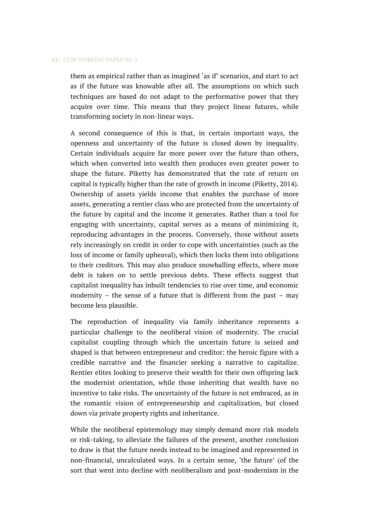them as empirical rather than as imagined 'as if' scenarios, and start to act as if the future was knowable after all. The assumptions on which such techniques are based do not adapt to the performative power that they acquire over time. This means that they project linear futures, while transforming society in non-linear ways.

A second consequence of this is that, in certain important ways, the openness and uncertainty of the future is closed down by inequality. Certain individuals acquire far more power over the future than others, which when converted into wealth then produces even greater power to shape the future. Piketty has demonstrated that the rate of return on capital is typically higher than the rate of growth in income (Piketty, 2014). Ownership of assets yields income that enables the purchase of more assets, generating a rentier class who are protected from the uncertainty of the future by capital and the income it generates. Rather than a tool for engaging with uncertainty, capital serves as a means of minimizing it, reproducing advantages in the process. Conversely, those without assets rely increasingly on credit in order to cope with uncertainties (such as the loss of income or family upheaval), which then locks them into obligations to their creditors. This may also produce snowballing effects, where more debt is taken on to settle previous debts. These effects suggest that capitalist inequality has inbuilt tendencies to rise over time, and economic modernity – the sense of a future that is different from the past – may become less plausible.

The reproduction of inequality via family inheritance represents a particular challenge to the neoliberal vision of modernity. The crucial capitalist coupling through which the uncertain future is seized and shaped is that between entrepreneur and creditor: the heroic figure with a credible narrative and the financier seeking a narrative to capitalize. Rentier elites looking to preserve their wealth for their own offspring lack the modernist orientation, while those inheriting that wealth have no incentive to take risks. The uncertainty of the future is not embraced, as in the romantic vision of entrepreneurship and capitalization, but closed down via private property rights and inheritance.

While the neoliberal epistemology may simply demand more risk models or risk-taking, to alleviate the failures of the present, another conclusion to draw is that the future needs instead to be imagined and represented in non-financial, uncalculated ways. In a certain sense, 'the future' (of the sort that went into decline with neoliberalism and post-modernism in the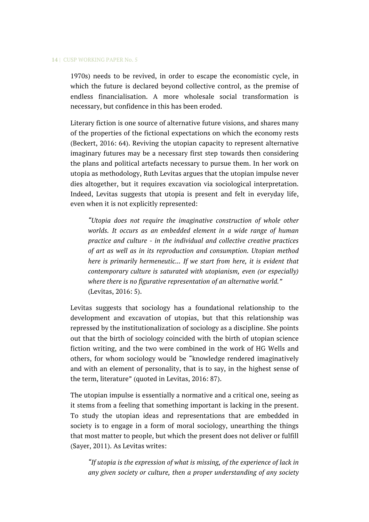1970s) needs to be revived, in order to escape the economistic cycle, in which the future is declared beyond collective control, as the premise of endless financialisation. A more wholesale social transformation is necessary, but confidence in this has been eroded.

Literary fiction is one source of alternative future visions, and shares many of the properties of the fictional expectations on which the economy rests (Beckert, 2016: 64). Reviving the utopian capacity to represent alternative imaginary futures may be a necessary first step towards then considering the plans and political artefacts necessary to pursue them. In her work on utopia as methodology, Ruth Levitas argues that the utopian impulse never dies altogether, but it requires excavation via sociological interpretation. Indeed, Levitas suggests that utopia is present and felt in everyday life, even when it is not explicitly represented:

*"Utopia does not require the imaginative construction of whole other worlds. It occurs as an embedded element in a wide range of human practice and culture - in the individual and collective creative practices of art as well as in its reproduction and consumption. Utopian method here is primarily hermeneutic... If we start from here, it is evident that contemporary culture is saturated with utopianism, even (or especially) where there is no figurative representation of an alternative world."* (Levitas, 2016: 5).

Levitas suggests that sociology has a foundational relationship to the development and excavation of utopias, but that this relationship was repressed by the institutionalization of sociology as a discipline. She points out that the birth of sociology coincided with the birth of utopian science fiction writing, and the two were combined in the work of HG Wells and others, for whom sociology would be "knowledge rendered imaginatively and with an element of personality, that is to say, in the highest sense of the term, literature" (quoted in Levitas, 2016: 87).

The utopian impulse is essentially a normative and a critical one, seeing as it stems from a feeling that something important is lacking in the present. To study the utopian ideas and representations that are embedded in society is to engage in a form of moral sociology, unearthing the things that most matter to people, but which the present does not deliver or fulfill (Sayer, 2011). As Levitas writes:

*"If utopia is the expression of what is missing, of the experience of lack in any given society or culture, then a proper understanding of any society*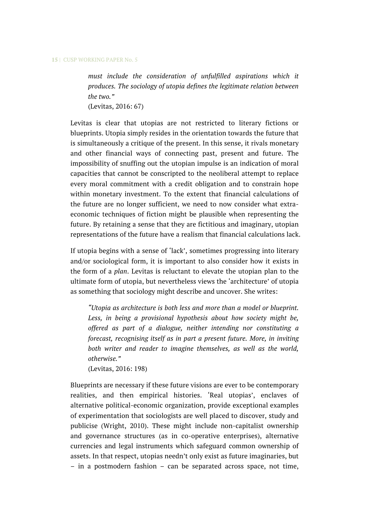*must include the consideration of unfulfilled aspirations which it produces. The sociology of utopia defines the legitimate relation between the two."* (Levitas, 2016: 67)

Levitas is clear that utopias are not restricted to literary fictions or blueprints. Utopia simply resides in the orientation towards the future that is simultaneously a critique of the present. In this sense, it rivals monetary and other financial ways of connecting past, present and future. The impossibility of snuffing out the utopian impulse is an indication of moral capacities that cannot be conscripted to the neoliberal attempt to replace every moral commitment with a credit obligation and to constrain hope within monetary investment. To the extent that financial calculations of the future are no longer sufficient, we need to now consider what extraeconomic techniques of fiction might be plausible when representing the future. By retaining a sense that they are fictitious and imaginary, utopian representations of the future have a realism that financial calculations lack.

If utopia begins with a sense of 'lack', sometimes progressing into literary and/or sociological form, it is important to also consider how it exists in the form of a *plan*. Levitas is reluctant to elevate the utopian plan to the ultimate form of utopia, but nevertheless views the 'architecture' of utopia as something that sociology might describe and uncover. She writes:

*"Utopia as architecture is both less and more than a model or blueprint. Less, in being a provisional hypothesis about how society might be, offered as part of a dialogue, neither intending nor constituting a forecast, recognising itself as in part a present future. More, in inviting both writer and reader to imagine themselves, as well as the world, otherwise."*

(Levitas, 2016: 198)

Blueprints are necessary if these future visions are ever to be contemporary realities, and then empirical histories. 'Real utopias', enclaves of alternative political-economic organization, provide exceptional examples of experimentation that sociologists are well placed to discover, study and publicise (Wright, 2010). These might include non-capitalist ownership and governance structures (as in co-operative enterprises), alternative currencies and legal instruments which safeguard common ownership of assets. In that respect, utopias needn't only exist as future imaginaries, but – in a postmodern fashion – can be separated across space, not time,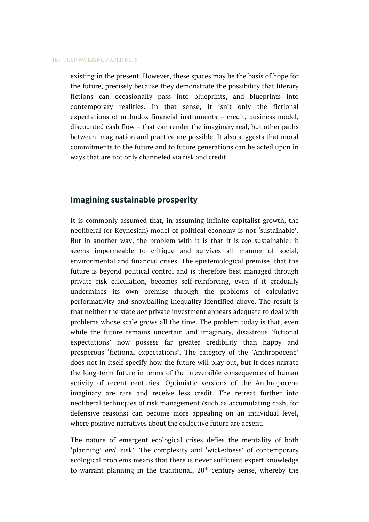existing in the present. However, these spaces may be the basis of hope for the future, precisely because they demonstrate the possibility that literary fictions can occasionally pass into blueprints, and blueprints into contemporary realities. In that sense, it isn't only the fictional expectations of orthodox financial instruments – credit, business model, discounted cash flow – that can render the imaginary real, but other paths between imagination and practice are possible. It also suggests that moral commitments to the future and to future generations can be acted upon in ways that are not only channeled via risk and credit.

# **Imagining sustainable prosperity**

It is commonly assumed that, in assuming infinite capitalist growth, the neoliberal (or Keynesian) model of political economy is not 'sustainable'. But in another way, the problem with it is that it is *too* sustainable: it seems impermeable to critique and survives all manner of social, environmental and financial crises. The epistemological premise, that the future is beyond political control and is therefore best managed through private risk calculation, becomes self-reinforcing, even if it gradually undermines its own premise through the problems of calculative performativity and snowballing inequality identified above. The result is that neither the state *nor* private investment appears adequate to deal with problems whose scale grows all the time. The problem today is that, even while the future remains uncertain and imaginary, disastrous 'fictional expectations' now possess far greater credibility than happy and prosperous 'fictional expectations'. The category of the 'Anthropocene' does not in itself specify how the future will play out, but it does narrate the long-term future in terms of the irreversible consequences of human activity of recent centuries. Optimistic versions of the Anthropocene imaginary are rare and receive less credit. The retreat further into neoliberal techniques of risk management (such as accumulating cash, for defensive reasons) can become more appealing on an individual level, where positive narratives about the collective future are absent.

The nature of emergent ecological crises defies the mentality of both 'planning' *and* 'risk'. The complexity and 'wickedness' of contemporary ecological problems means that there is never sufficient expert knowledge to warrant planning in the traditional,  $20<sup>th</sup>$  century sense, whereby the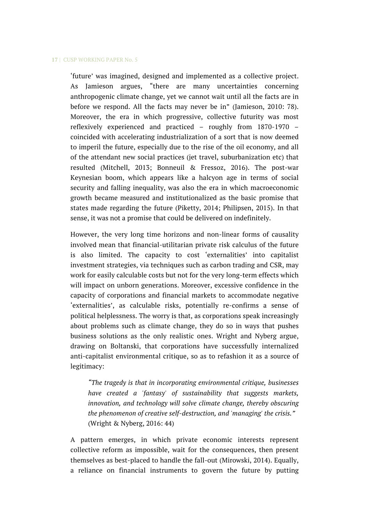'future' was imagined, designed and implemented as a collective project. As Jamieson argues, "there are many uncertainties concerning anthropogenic climate change, yet we cannot wait until all the facts are in before we respond. All the facts may never be in" (Jamieson, 2010: 78). Moreover, the era in which progressive, collective futurity was most reflexively experienced and practiced – roughly from 1870-1970 – coincided with accelerating industrialization of a sort that is now deemed to imperil the future, especially due to the rise of the oil economy, and all of the attendant new social practices (jet travel, suburbanization etc) that resulted (Mitchell, 2013; Bonneuil & Fressoz, 2016). The post-war Keynesian boom, which appears like a halcyon age in terms of social security and falling inequality, was also the era in which macroeconomic growth became measured and institutionalized as the basic promise that states made regarding the future (Piketty, 2014; Philipsen, 2015). In that sense, it was not a promise that could be delivered on indefinitely.

However, the very long time horizons and non-linear forms of causality involved mean that financial-utilitarian private risk calculus of the future is also limited. The capacity to cost 'externalities' into capitalist investment strategies, via techniques such as carbon trading and CSR, may work for easily calculable costs but not for the very long-term effects which will impact on unborn generations. Moreover, excessive confidence in the capacity of corporations and financial markets to accommodate negative 'externalities', as calculable risks, potentially re-confirms a sense of political helplessness. The worry is that, as corporations speak increasingly about problems such as climate change, they do so in ways that pushes business solutions as the only realistic ones. Wright and Nyberg argue, drawing on Boltanski, that corporations have successfully internalized anti-capitalist environmental critique, so as to refashion it as a source of legitimacy:

*"The tragedy is that in incorporating environmental critique, businesses have created a 'fantasy' of sustainability that suggests markets, innovation, and technology will solve climate change, thereby obscuring the phenomenon of creative self-destruction, and 'managing' the crisis."* (Wright & Nyberg, 2016: 44)

A pattern emerges, in which private economic interests represent collective reform as impossible, wait for the consequences, then present themselves as best-placed to handle the fall-out (Mirowski, 2014). Equally, a reliance on financial instruments to govern the future by putting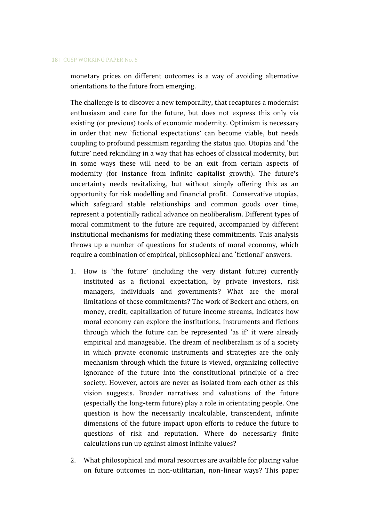monetary prices on different outcomes is a way of avoiding alternative orientations to the future from emerging.

The challenge is to discover a new temporality, that recaptures a modernist enthusiasm and care for the future, but does not express this only via existing (or previous) tools of economic modernity. Optimism is necessary in order that new 'fictional expectations' can become viable, but needs coupling to profound pessimism regarding the status quo. Utopias and 'the future' need rekindling in a way that has echoes of classical modernity, but in some ways these will need to be an exit from certain aspects of modernity (for instance from infinite capitalist growth). The future's uncertainty needs revitalizing, but without simply offering this as an opportunity for risk modelling and financial profit. Conservative utopias, which safeguard stable relationships and common goods over time, represent a potentially radical advance on neoliberalism. Different types of moral commitment to the future are required, accompanied by different institutional mechanisms for mediating these commitments. This analysis throws up a number of questions for students of moral economy, which require a combination of empirical, philosophical and 'fictional' answers.

- 1. How is 'the future' (including the very distant future) currently instituted as a fictional expectation, by private investors, risk managers, individuals and governments? What are the moral limitations of these commitments? The work of Beckert and others, on money, credit, capitalization of future income streams, indicates how moral economy can explore the institutions, instruments and fictions through which the future can be represented 'as if' it were already empirical and manageable. The dream of neoliberalism is of a society in which private economic instruments and strategies are the only mechanism through which the future is viewed, organizing collective ignorance of the future into the constitutional principle of a free society. However, actors are never as isolated from each other as this vision suggests. Broader narratives and valuations of the future (especially the long-term future) play a role in orientating people. One question is how the necessarily incalculable, transcendent, infinite dimensions of the future impact upon efforts to reduce the future to questions of risk and reputation. Where do necessarily finite calculations run up against almost infinite values?
- 2. What philosophical and moral resources are available for placing value on future outcomes in non-utilitarian, non-linear ways? This paper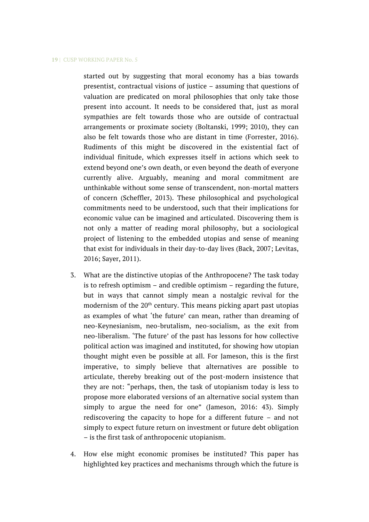started out by suggesting that moral economy has a bias towards presentist, contractual visions of justice – assuming that questions of valuation are predicated on moral philosophies that only take those present into account. It needs to be considered that, just as moral sympathies are felt towards those who are outside of contractual arrangements or proximate society (Boltanski, 1999; 2010), they can also be felt towards those who are distant in time (Forrester, 2016). Rudiments of this might be discovered in the existential fact of individual finitude, which expresses itself in actions which seek to extend beyond one's own death, or even beyond the death of everyone currently alive. Arguably, meaning and moral commitment are unthinkable without some sense of transcendent, non-mortal matters of concern (Scheffler, 2013). These philosophical and psychological commitments need to be understood, such that their implications for economic value can be imagined and articulated. Discovering them is not only a matter of reading moral philosophy, but a sociological project of listening to the embedded utopias and sense of meaning that exist for individuals in their day-to-day lives (Back, 2007; Levitas, 2016; Sayer, 2011).

- 3. What are the distinctive utopias of the Anthropocene? The task today is to refresh optimism – and credible optimism – regarding the future, but in ways that cannot simply mean a nostalgic revival for the modernism of the  $20<sup>th</sup>$  century. This means picking apart past utopias as examples of what 'the future' can mean, rather than dreaming of neo-Keynesianism, neo-brutalism, neo-socialism, as the exit from neo-liberalism. 'The future' of the past has lessons for how collective political action was imagined and instituted, for showing how utopian thought might even be possible at all. For Jameson, this is the first imperative, to simply believe that alternatives are possible to articulate, thereby breaking out of the post-modern insistence that they are not: "perhaps, then, the task of utopianism today is less to propose more elaborated versions of an alternative social system than simply to argue the need for one" (Jameson, 2016: 43). Simply rediscovering the capacity to hope for a different future – and not simply to expect future return on investment or future debt obligation – is the first task of anthropocenic utopianism.
- 4. How else might economic promises be instituted? This paper has highlighted key practices and mechanisms through which the future is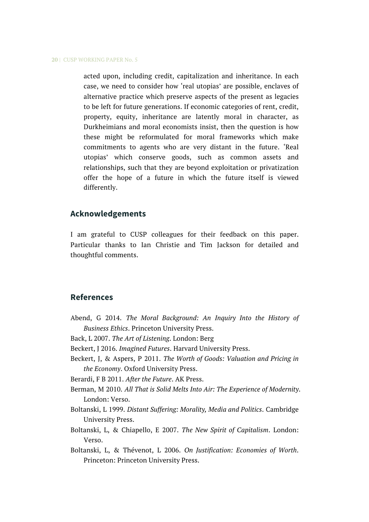acted upon, including credit, capitalization and inheritance. In each case, we need to consider how 'real utopias' are possible, enclaves of alternative practice which preserve aspects of the present as legacies to be left for future generations. If economic categories of rent, credit, property, equity, inheritance are latently moral in character, as Durkheimians and moral economists insist, then the question is how these might be reformulated for moral frameworks which make commitments to agents who are very distant in the future. 'Real utopias' which conserve goods, such as common assets and relationships, such that they are beyond exploitation or privatization offer the hope of a future in which the future itself is viewed differently.

## **Acknowledgements**

I am grateful to CUSP colleagues for their feedback on this paper. Particular thanks to Ian Christie and Tim Jackson for detailed and thoughtful comments.

## **References**

- Abend, G 2014. *The Moral Background: An Inquiry Into the History of Business Ethics*. Princeton University Press.
- Back, L 2007. *The Art of Listening*. London: Berg
- Beckert, J 2016. *Imagined Futures*. Harvard University Press.
- Beckert, J, & Aspers, P 2011. *The Worth of Goods: Valuation and Pricing in the Economy*. Oxford University Press.
- Berardi, F B 2011. *After the Future*. AK Press.
- Berman, M 2010. *All That is Solid Melts Into Air: The Experience of Modernity*. London: Verso.
- Boltanski, L 1999. *Distant Suffering: Morality, Media and Politics*. Cambridge University Press.
- Boltanski, L, & Chiapello, E 2007. *The New Spirit of Capitalism*. London: Verso.
- Boltanski, L, & Thévenot, L 2006. *On Justification: Economies of Worth*. Princeton: Princeton University Press.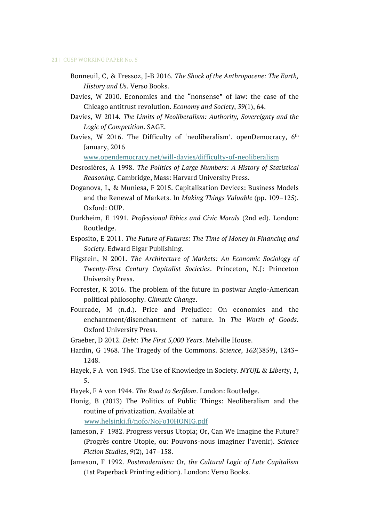- Bonneuil, C, & Fressoz, J-B 2016. *The Shock of the Anthropocene: The Earth, History and Us*. Verso Books.
- Davies, W 2010. Economics and the "nonsense" of law: the case of the Chicago antitrust revolution. *Economy and Society*, *39*(1), 64.
- Davies, W 2014. *The Limits of Neoliberalism: Authority, Sovereignty and the Logic of Competition*. SAGE.
- Davies, W 2016. The Difficulty of 'neoliberalism'. openDemocracy,  $6<sup>th</sup>$ January, 2016

[www.opendemocracy.net/will-davies/difficulty-of-neoliberalism](http://www.opendemocracy.net/will-davies/difficulty-of-neoliberalism)

- Desrosières, A 1998. *The Politics of Large Numbers: A History of Statistical Reasoning*. Cambridge, Mass: Harvard University Press.
- Doganova, L, & Muniesa, F 2015. Capitalization Devices: Business Models and the Renewal of Markets. In *Making Things Valuable* (pp. 109–125). Oxford: OUP.
- Durkheim, E 1991. *Professional Ethics and Civic Morals* (2nd ed). London: Routledge.
- Esposito, E 2011. *The Future of Futures: The Time of Money in Financing and Society*. Edward Elgar Publishing.
- Fligstein, N 2001. *The Architecture of Markets: An Economic Sociology of Twenty-First Century Capitalist Societies*. Princeton, N.J: Princeton University Press.
- Forrester, K 2016. The problem of the future in postwar Anglo-American political philosophy. *Climatic Change*.
- Fourcade, M (n.d.). Price and Prejudice: On economics and the enchantment/disenchantment of nature. In *The Worth of Goods*. Oxford University Press.
- Graeber, D 2012. *Debt: The First 5,000 Years*. Melville House.
- Hardin, G 1968. The Tragedy of the Commons. *Science*, *162*(3859), 1243– 1248.
- Hayek, F A von 1945. The Use of Knowledge in Society. *NYUJL & Liberty*, *1*, 5.
- Hayek, F A von 1944. *The Road to Serfdom*. London: Routledge.
- Honig, B (2013) The Politics of Public Things: Neoliberalism and the routine of privatization. Available at

[www.helsinki.fi/nofo/NoFo10HONIG.pdf](http://www.helsinki.fi/nofo/NoFo10HONIG.pdf)

- Jameson, F 1982. Progress versus Utopia; Or, Can We Imagine the Future? (Progrès contre Utopie, ou: Pouvons-nous imaginer l'avenir). *Science Fiction Studies*, *9*(2), 147–158.
- Jameson, F 1992. *Postmodernism: Or, the Cultural Logic of Late Capitalism* (1st Paperback Printing edition). London: Verso Books.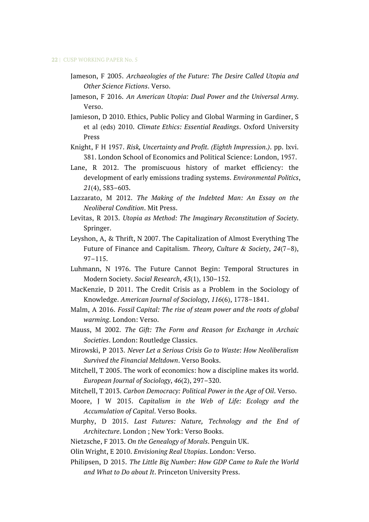- Jameson, F 2005. *Archaeologies of the Future: The Desire Called Utopia and Other Science Fictions*. Verso.
- Jameson, F 2016. *An American Utopia: Dual Power and the Universal Army*. Verso.
- Jamieson, D 2010. Ethics, Public Policy and Global Warming in Gardiner, S et al (eds) 2010. *Climate Ethics: Essential Readings*. Oxford University Press
- Knight, F H 1957. *Risk, Uncertainty and Profit. (Eighth Impression.)*. pp. lxvi. 381. London School of Economics and Political Science: London, 1957.
- Lane, R 2012. The promiscuous history of market efficiency: the development of early emissions trading systems. *Environmental Politics*, *21*(4), 583–603.
- Lazzarato, M 2012. *The Making of the Indebted Man: An Essay on the Neoliberal Condition*. Mit Press.
- Levitas, R 2013. *Utopia as Method: The Imaginary Reconstitution of Society*. Springer.
- Leyshon, A, & Thrift, N 2007. The Capitalization of Almost Everything The Future of Finance and Capitalism. *Theory, Culture & Society*, *24*(7–8), 97–115.
- Luhmann, N 1976. The Future Cannot Begin: Temporal Structures in Modern Society. *Social Research*, *43*(1), 130–152.
- MacKenzie, D 2011. The Credit Crisis as a Problem in the Sociology of Knowledge. *American Journal of Sociology*, *116*(6), 1778–1841.
- Malm, A 2016. *Fossil Capital: The rise of steam power and the roots of global warming*. London: Verso.
- Mauss, M 2002. *The Gift: The Form and Reason for Exchange in Archaic Societies*. London: Routledge Classics.
- Mirowski, P 2013. *Never Let a Serious Crisis Go to Waste: How Neoliberalism Survived the Financial Meltdown*. Verso Books.
- Mitchell, T 2005. The work of economics: how a discipline makes its world. *European Journal of Sociology*, *46*(2), 297–320.
- Mitchell, T 2013. *Carbon Democracy: Political Power in the Age of Oil*. Verso.
- Moore, J W 2015. *Capitalism in the Web of Life: Ecology and the Accumulation of Capital*. Verso Books.
- Murphy, D 2015. *Last Futures: Nature, Technology and the End of Architecture*. London ; New York: Verso Books.
- Nietzsche, F 2013. *On the Genealogy of Morals*. Penguin UK.
- Olin Wright, E 2010. *Envisioning Real Utopias*. London: Verso.
- Philipsen, D 2015. *The Little Big Number: How GDP Came to Rule the World and What to Do about It*. Princeton University Press.